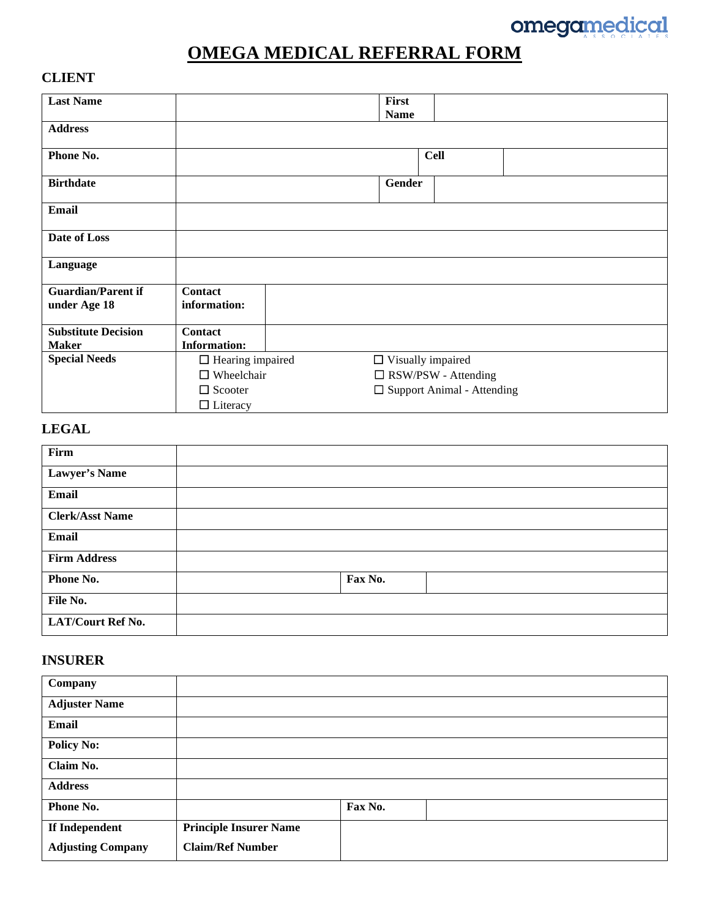

# **OMEGA MEDICAL REFERRAL FORM**

#### **CLIENT**

| <b>Last Name</b>           |                         | First                             |
|----------------------------|-------------------------|-----------------------------------|
|                            |                         | <b>Name</b>                       |
| <b>Address</b>             |                         |                                   |
| Phone No.                  |                         | <b>Cell</b>                       |
| <b>Birthdate</b>           |                         | Gender                            |
| <b>Email</b>               |                         |                                   |
| Date of Loss               |                         |                                   |
| Language                   |                         |                                   |
| <b>Guardian/Parent if</b>  | Contact                 |                                   |
| under Age 18               | information:            |                                   |
| <b>Substitute Decision</b> | Contact                 |                                   |
| <b>Maker</b>               | <b>Information:</b>     |                                   |
| <b>Special Needs</b>       | $\Box$ Hearing impaired | $\Box$ Visually impaired          |
|                            | $\Box$ Wheelchair       | $\Box$ RSW/PSW - Attending        |
|                            | $\Box$ Scooter          | $\Box$ Support Animal - Attending |
|                            | $\Box$ Literacy         |                                   |

## **LEGAL**

| Firm                     |         |
|--------------------------|---------|
| Lawyer's Name            |         |
| <b>Email</b>             |         |
| <b>Clerk/Asst Name</b>   |         |
| Email                    |         |
| <b>Firm Address</b>      |         |
| Phone No.                | Fax No. |
| File No.                 |         |
| <b>LAT/Court Ref No.</b> |         |

### **INSURER**

| Company                  |                               |         |
|--------------------------|-------------------------------|---------|
| <b>Adjuster Name</b>     |                               |         |
| Email                    |                               |         |
| <b>Policy No:</b>        |                               |         |
| Claim No.                |                               |         |
| <b>Address</b>           |                               |         |
| Phone No.                |                               | Fax No. |
| If Independent           | <b>Principle Insurer Name</b> |         |
| <b>Adjusting Company</b> | <b>Claim/Ref Number</b>       |         |